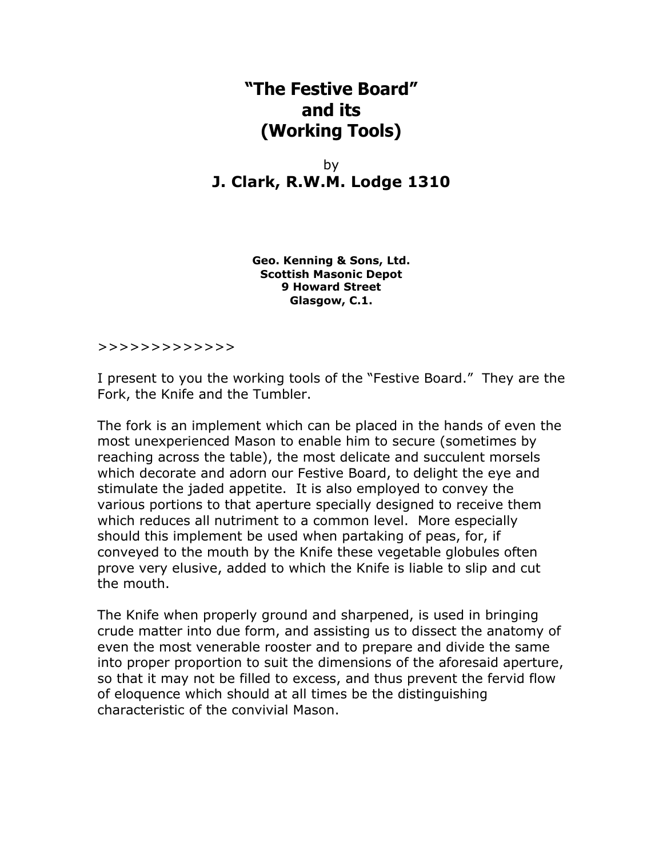## **"The Festive Board" and its (Working Tools)**

by **J. Clark, R.W.M. Lodge 1310**

> **Geo. Kenning & Sons, Ltd. Scottish Masonic Depot 9 Howard Street Glasgow, C.1.**

## >>>>>>>>>>>>>

I present to you the working tools of the "Festive Board." They are the Fork, the Knife and the Tumbler.

The fork is an implement which can be placed in the hands of even the most unexperienced Mason to enable him to secure (sometimes by reaching across the table), the most delicate and succulent morsels which decorate and adorn our Festive Board, to delight the eye and stimulate the jaded appetite. It is also employed to convey the various portions to that aperture specially designed to receive them which reduces all nutriment to a common level. More especially should this implement be used when partaking of peas, for, if conveyed to the mouth by the Knife these vegetable globules often prove very elusive, added to which the Knife is liable to slip and cut the mouth.

The Knife when properly ground and sharpened, is used in bringing crude matter into due form, and assisting us to dissect the anatomy of even the most venerable rooster and to prepare and divide the same into proper proportion to suit the dimensions of the aforesaid aperture, so that it may not be filled to excess, and thus prevent the fervid flow of eloquence which should at all times be the distinguishing characteristic of the convivial Mason.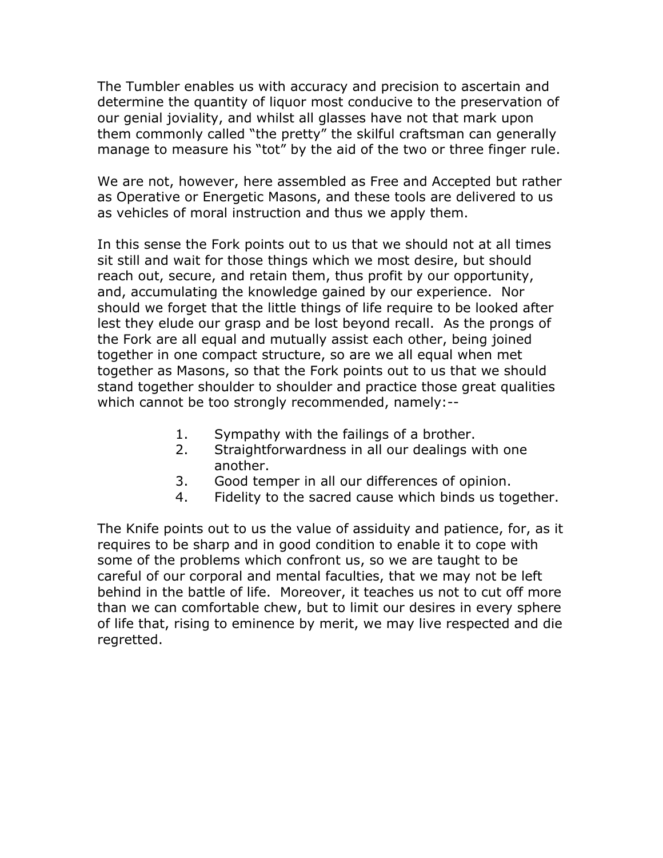The Tumbler enables us with accuracy and precision to ascertain and determine the quantity of liquor most conducive to the preservation of our genial joviality, and whilst all glasses have not that mark upon them commonly called "the pretty" the skilful craftsman can generally manage to measure his "tot" by the aid of the two or three finger rule.

We are not, however, here assembled as Free and Accepted but rather as Operative or Energetic Masons, and these tools are delivered to us as vehicles of moral instruction and thus we apply them.

In this sense the Fork points out to us that we should not at all times sit still and wait for those things which we most desire, but should reach out, secure, and retain them, thus profit by our opportunity, and, accumulating the knowledge gained by our experience. Nor should we forget that the little things of life require to be looked after lest they elude our grasp and be lost beyond recall. As the prongs of the Fork are all equal and mutually assist each other, being joined together in one compact structure, so are we all equal when met together as Masons, so that the Fork points out to us that we should stand together shoulder to shoulder and practice those great qualities which cannot be too strongly recommended, namely:--

- 1. Sympathy with the failings of a brother.
- 2. Straightforwardness in all our dealings with one another.
- 3. Good temper in all our differences of opinion.
- 4. Fidelity to the sacred cause which binds us together.

The Knife points out to us the value of assiduity and patience, for, as it requires to be sharp and in good condition to enable it to cope with some of the problems which confront us, so we are taught to be careful of our corporal and mental faculties, that we may not be left behind in the battle of life. Moreover, it teaches us not to cut off more than we can comfortable chew, but to limit our desires in every sphere of life that, rising to eminence by merit, we may live respected and die regretted.